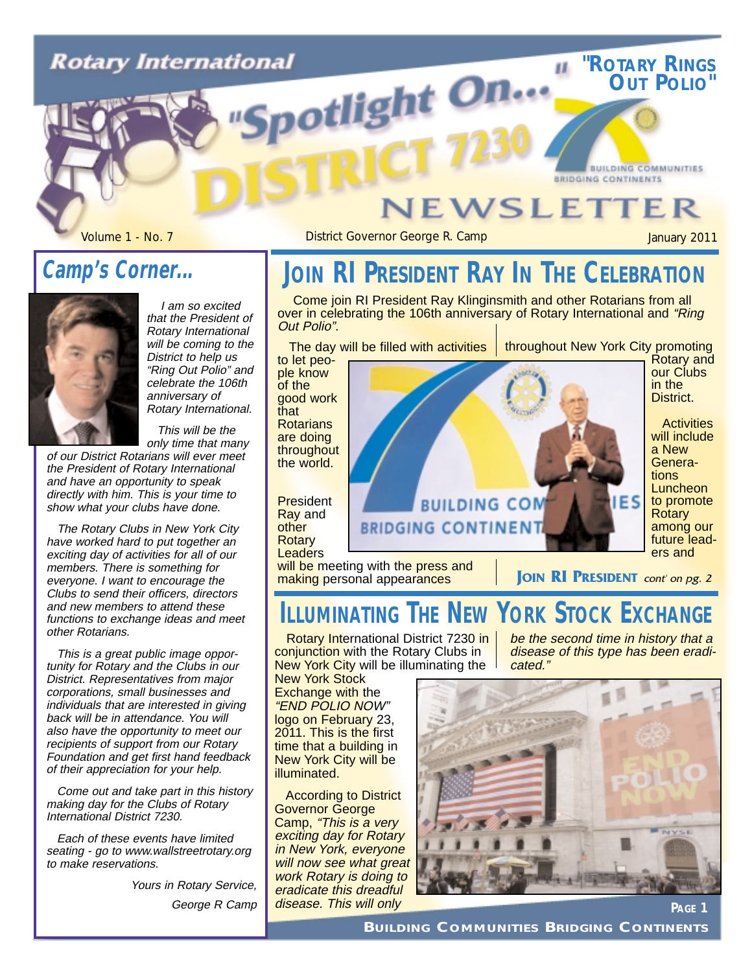# **Rotary International** potlight On...

#### **EWSLETTER**

Volume 1 - No. 7 **District Governor George R. Camp** January 2011

**"ROTARY RINGS OUT POLIO"**

**BUILDING COMMUNITIES** 

#### **Camp's Corner...**



I am so excited that the President of Rotary International will be coming to the District to help us "Ring Out Polio" and celebrate the 106th anniversary of Rotary International.

This will be the only time that many

of our District Rotarians will ever meet the President of Rotary International and have an opportunity to speak directly with him. This is your time to show what your clubs have done.

The Rotary Clubs in New York City have worked hard to put together an exciting day of activities for all of our members. There is something for everyone. I want to encourage the Clubs to send their officers, directors and new members to attend these functions to exchange ideas and meet other Rotarians.

This is a great public image opportunity for Rotary and the Clubs in our District. Representatives from major corporations, small businesses and individuals that are interested in giving back will be in attendance. You will also have the opportunity to meet our recipients of support from our Rotary Foundation and get first hand feedback of their appreciation for your help.

Come out and take part in this history making day for the Clubs of Rotary International District 7230.

Each of these events have limited seating - go to www.wallstreetrotary.org to make reservations.

> Yours in Rotary Service, George R Camp

### **JOIN RI PRESIDENT RAY IN THE CELEBRATION**

Come join RI President Ray Klinginsmith and other Rotarians from all over in celebrating the 106th anniversary of Rotary International and "Ring" Out Polio".

The day will be filled with activities

throughout New York City promoting

**BRIDGING CONTINENTS** 

to let people know of the good work that **Rotarians** are doing throughout the world.

**President** Ray and other **Rotary Leaders** 

will be meeting with the press and making personal appearances



**ILLUMINATING THE NEW YORK STOCK EXCHANGE**

Rotary International District 7230 in conjunction with the Rotary Clubs in New York City will be illuminating the

New York Stock Exchange with the "END POLIO NOW" logo on February 23, 2011. This is the first time that a building in New York City will be illuminated.

According to District Governor George Camp, "This is a very exciting day for Rotary in New York, everyone will now see what great work Rotary is doing to eradicate this dreadful disease. This will only

be the second time in history that a disease of this type has been eradicated."



**BUILDING COMMUNITIES BRIDGING CONTINENTS**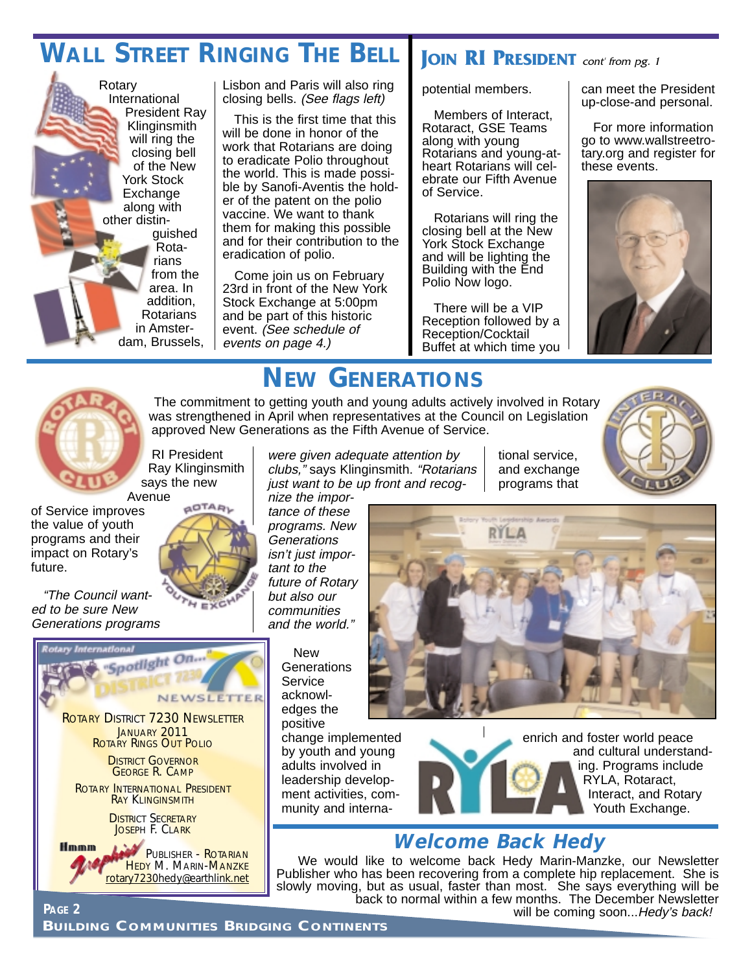#### **WALL STREET RINGING THE BELL JOIN RI PRESIDENT** cont' from pg. 1



Lisbon and Paris will also ring closing bells. (See flags left)

This is the first time that this will be done in honor of the work that Rotarians are doing to eradicate Polio throughout the world. This is made possible by Sanofi-Aventis the holder of the patent on the polio vaccine. We want to thank them for making this possible and for their contribution to the eradication of polio.

Come join us on February 23rd in front of the New York Stock Exchange at 5:00pm and be part of this historic event. (See schedule of events on page 4.)

potential members.

Members of Interact, Rotaract, GSE Teams along with young Rotarians and young-atheart Rotarians will celebrate our Fifth Avenue of Service.

Rotarians will ring the closing bell at the New York Stock Exchange and will be lighting the Building with the End Polio Now logo.

There will be a VIP Reception followed by a Reception/Cocktail Buffet at which time you can meet the President up-close-and personal.

For more information go to www.wallstreetrotary.org and register for these events.





## **NEW GENERATIONS**

The commitment to getting youth and young adults actively involved in Rotary was strengthened in April when representatives at the Council on Legislation approved New Generations as the Fifth Avenue of Service.

RI President Ray Klinginsmith says the new Avenue

**AOTAR** 

 $E \times C$ 

of Service improves the value of youth programs and their impact on Rotary's future.

"The Council wanted to be sure New Generations programs



were given adequate attention by clubs," says Klinginsmith. "Rotarians just want to be up front and recog-

nize the importance of these programs. New **Generations** isn't just important to the future of Rotary but also our communities and the world."

> New **Generations Service** acknowledges the positive



tional service, and exchange programs that

change implemented by youth and young adults involved in leadership development activities, community and interna-

enrich and foster world peace and cultural understanding. Programs include RYLA, Rotaract, Interact, and Rotary Youth Exchange.

#### **Welcome Back Hedy**

We would like to welcome back Hedy Marin-Manzke, our Newsletter Publisher who has been recovering from a complete hip replacement. She is slowly moving, but as usual, faster than most. She says everything will be back to normal within a few months. The December Newsletter

rotary7230hedy@earthlink.net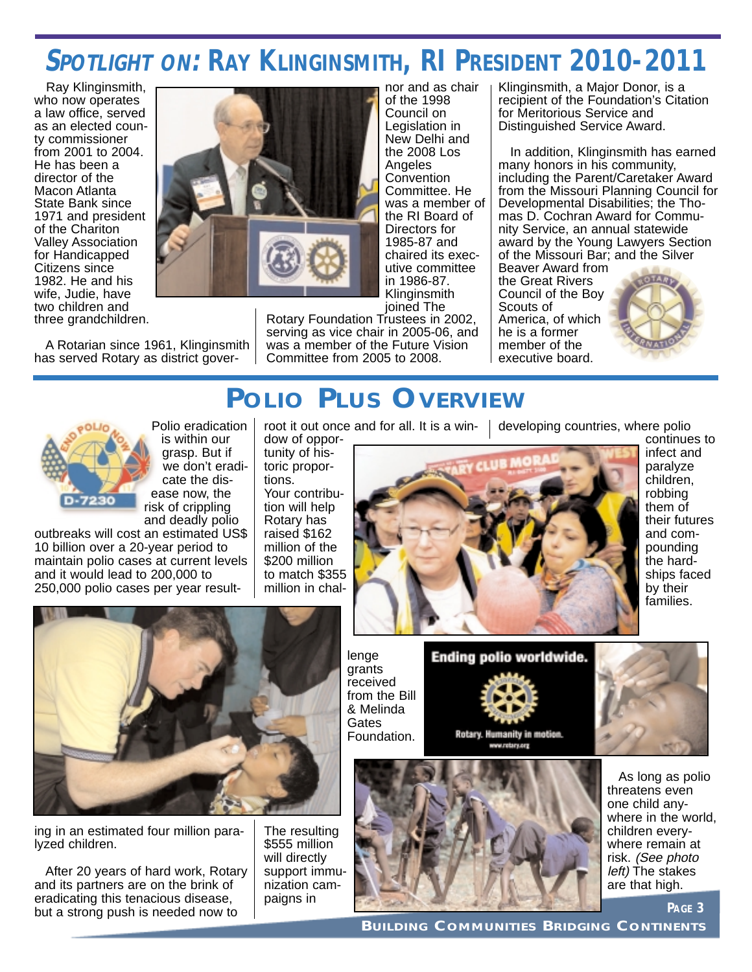### **SPOTLIGHT ON: RAY KLINGINSMITH, RI PRESIDENT 2010-2011**

nor and as chair of the 1998 Council on Legislation in New Delhi and the 2008 Los **Angeles Convention** Committee. He was a member of the RI Board of Directors for 1985-87 and chaired its executive committee in 1986-87. Klinginsmith

Ray Klinginsmith, who now operates a law office, served as an elected county commissioner from 2001 to 2004. He has been a director of the Macon Atlanta State Bank since 1971 and president of the Chariton Valley Association for Handicapped Citizens since 1982. He and his wife, Judie, have two children and three grandchildren.

A Rotarian since 1961, Klinginsmith has served Rotary as district gover-



joined The Rotary Foundation Trustees in 2002, serving as vice chair in 2005-06, and was a member of the Future Vision Committee from 2005 to 2008.

Klinginsmith, a Major Donor, is a recipient of the Foundation's Citation for Meritorious Service and Distinguished Service Award.

In addition, Klinginsmith has earned many honors in his community, including the Parent/Caretaker Award from the Missouri Planning Council for Developmental Disabilities; the Thomas D. Cochran Award for Community Service, an annual statewide award by the Young Lawyers Section of the Missouri Bar; and the Silver

Beaver Award from the Great Rivers Council of the Boy Scouts of America, of which he is a former member of the executive board.



#### **POLIO PLUS OVERVIEW**



Polio eradication is within our grasp. But if we don't eradicate the disease now, the risk of crippling and deadly polio

outbreaks will cost an estimated US\$ 10 billion over a 20-year period to maintain polio cases at current levels and it would lead to 200,000 to 250,000 polio cases per year result-

root it out once and for all. It is a win-

dow of opportunity of historic proportions. Your contribution will help Rotary has raised \$162 million of the \$200 million to match \$355 million in chaldeveloping countries, where polio



continues to infect and paralyze children, robbing them of their futures and compounding the hardships faced by their families.



ing in an estimated four million paralyzed children.

After 20 years of hard work, Rotary and its partners are on the brink of eradicating this tenacious disease, but a strong push is needed now to

The resulting \$555 million will directly support immunization campaigns in

lenge grants received from the Bill & Melinda **Gates** Foundation.



Rotary. Humanity in motion. www.retary.org



As long as polio threatens even one child anywhere in the world, children everywhere remain at risk. (See photo left) The stakes are that high.

**PAGE 3**